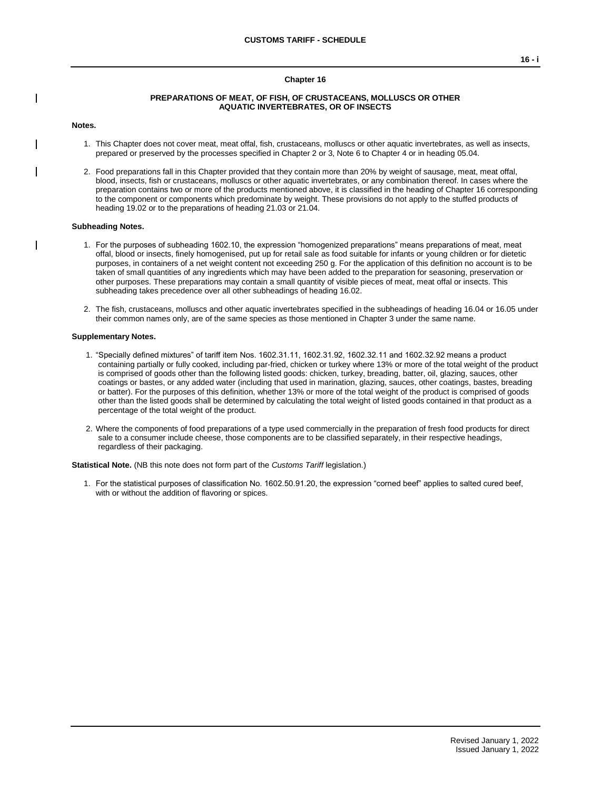## **Chapter 16**

#### **PREPARATIONS OF MEAT, OF FISH, OF CRUSTACEANS, MOLLUSCS OR OTHER AQUATIC INVERTEBRATES, OR OF INSECTS**

#### **Notes.**

- 1. This Chapter does not cover meat, meat offal, fish, crustaceans, molluscs or other aquatic invertebrates, as well as insects, prepared or preserved by the processes specified in Chapter 2 or 3, Note 6 to Chapter 4 or in heading 05.04.
- 2. Food preparations fall in this Chapter provided that they contain more than 20% by weight of sausage, meat, meat offal, blood, insects, fish or crustaceans, molluscs or other aquatic invertebrates, or any combination thereof. In cases where the preparation contains two or more of the products mentioned above, it is classified in the heading of Chapter 16 corresponding to the component or components which predominate by weight. These provisions do not apply to the stuffed products of heading 19.02 or to the preparations of heading 21.03 or 21.04.

#### **Subheading Notes.**

- 1. For the purposes of subheading 1602.10, the expression "homogenized preparations" means preparations of meat, meat offal, blood or insects, finely homogenised, put up for retail sale as food suitable for infants or young children or for dietetic purposes, in containers of a net weight content not exceeding 250 g. For the application of this definition no account is to be taken of small quantities of any ingredients which may have been added to the preparation for seasoning, preservation or other purposes. These preparations may contain a small quantity of visible pieces of meat, meat offal or insects. This subheading takes precedence over all other subheadings of heading 16.02.
- 2. The fish, crustaceans, molluscs and other aquatic invertebrates specified in the subheadings of heading 16.04 or 16.05 under their common names only, are of the same species as those mentioned in Chapter 3 under the same name.

#### **Supplementary Notes.**

- 1. "Specially defined mixtures" of tariff item Nos. 1602.31.11, 1602.31.92, 1602.32.11 and 1602.32.92 means a product containing partially or fully cooked, including par-fried, chicken or turkey where 13% or more of the total weight of the product is comprised of goods other than the following listed goods: chicken, turkey, breading, batter, oil, glazing, sauces, other coatings or bastes, or any added water (including that used in marination, glazing, sauces, other coatings, bastes, breading or batter). For the purposes of this definition, whether 13% or more of the total weight of the product is comprised of goods other than the listed goods shall be determined by calculating the total weight of listed goods contained in that product as a percentage of the total weight of the product.
- 2. Where the components of food preparations of a type used commercially in the preparation of fresh food products for direct sale to a consumer include cheese, those components are to be classified separately, in their respective headings, regardless of their packaging.

**Statistical Note.** (NB this note does not form part of the *Customs Tariff* legislation.)

1. For the statistical purposes of classification No. 1602.50.91.20, the expression "corned beef" applies to salted cured beef, with or without the addition of flavoring or spices.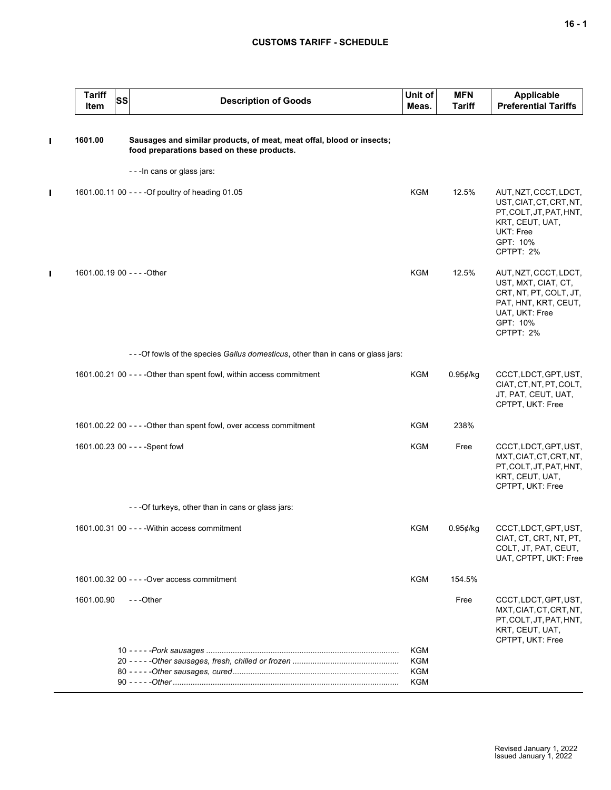# **CUSTOMS TARIFF - SCHEDULE**

|   | <b>Tariff</b><br>SS<br>Item | <b>Description of Goods</b>                                                                                         | Unit of<br>Meas. | <b>MFN</b><br><b>Tariff</b> | <b>Applicable</b><br><b>Preferential Tariffs</b>                                                                                          |
|---|-----------------------------|---------------------------------------------------------------------------------------------------------------------|------------------|-----------------------------|-------------------------------------------------------------------------------------------------------------------------------------------|
| Π | 1601.00                     | Sausages and similar products, of meat, meat offal, blood or insects;<br>food preparations based on these products. |                  |                             |                                                                                                                                           |
|   |                             | - - - In cans or glass jars:                                                                                        |                  |                             |                                                                                                                                           |
| П |                             | 1601.00.11 00 - - - - Of poultry of heading 01.05                                                                   | <b>KGM</b>       | 12.5%                       | AUT, NZT, CCCT, LDCT,<br>UST, CIAT, CT, CRT, NT,<br>PT, COLT, JT, PAT, HNT,<br>KRT, CEUT, UAT,<br>UKT: Free<br>GPT: 10%<br>CPTPT: 2%      |
| П | 1601.00.19 00 - - - - Other |                                                                                                                     | <b>KGM</b>       | 12.5%                       | AUT, NZT, CCCT, LDCT,<br>UST, MXT, CIAT, CT,<br>CRT, NT, PT, COLT, JT,<br>PAT, HNT, KRT, CEUT,<br>UAT, UKT: Free<br>GPT: 10%<br>CPTPT: 2% |
|   |                             | - - -Of fowls of the species Gallus domesticus, other than in cans or glass jars:                                   |                  |                             |                                                                                                                                           |
|   |                             | 1601.00.21 00 - - - - Other than spent fowl, within access commitment                                               | <b>KGM</b>       | $0.95$ ¢/kg                 | CCCT, LDCT, GPT, UST,<br>CIAT, CT, NT, PT, COLT,<br>JT, PAT, CEUT, UAT,<br>CPTPT, UKT: Free                                               |
|   |                             | 1601.00.22 00 - - - - Other than spent fowl, over access commitment                                                 | <b>KGM</b>       | 238%                        |                                                                                                                                           |
|   |                             | 1601.00.23 00 - - - - Spent fowl                                                                                    | <b>KGM</b>       | Free                        | CCCT, LDCT, GPT, UST,<br>MXT, CIAT, CT, CRT, NT,<br>PT, COLT, JT, PAT, HNT,<br>KRT, CEUT, UAT,<br>CPTPT, UKT: Free                        |
|   |                             | ---Of turkeys, other than in cans or glass jars:                                                                    |                  |                             |                                                                                                                                           |
|   |                             | 1601.00.31 00 - - - - Within access commitment                                                                      | <b>KGM</b>       | 0.95¢/kg                    | CCCT, LDCT, GPT, UST,<br>CIAT, CT, CRT, NT, PT,<br>COLT, JT, PAT, CEUT,<br>UAT, CPTPT, UKT: Free                                          |
|   |                             | 1601.00.32 00 - - - - Over access commitment                                                                        | <b>KGM</b>       | 154.5%                      |                                                                                                                                           |
|   | 1601.00.90                  | $- -$ Other                                                                                                         |                  | Free                        | CCCT, LDCT, GPT, UST,<br>MXT, CIAT, CT, CRT, NT,<br>PT, COLT, JT, PAT, HNT,<br>KRT, CEUT, UAT,<br>CPTPT, UKT: Free                        |
|   |                             |                                                                                                                     | KGM              |                             |                                                                                                                                           |
|   |                             |                                                                                                                     | KGM<br>KGM       |                             |                                                                                                                                           |
|   |                             |                                                                                                                     | KGM              |                             |                                                                                                                                           |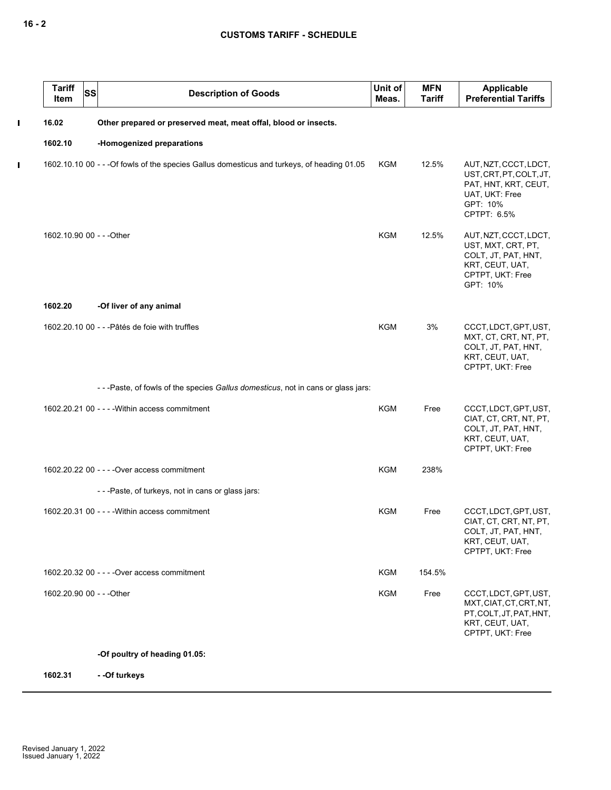$\mathbf I$ 

 $\mathbf{I}$ 

| <b>Tariff</b><br><b>SS</b><br>Item | <b>Description of Goods</b>                                                                 | Unit of<br>Meas. | <b>MFN</b><br><b>Tariff</b> | Applicable<br><b>Preferential Tariffs</b>                                                                             |
|------------------------------------|---------------------------------------------------------------------------------------------|------------------|-----------------------------|-----------------------------------------------------------------------------------------------------------------------|
| 16.02                              | Other prepared or preserved meat, meat offal, blood or insects.                             |                  |                             |                                                                                                                       |
| 1602.10                            | -Homogenized preparations                                                                   |                  |                             |                                                                                                                       |
|                                    | 1602.10.10 00 - - - Of fowls of the species Gallus domesticus and turkeys, of heading 01.05 | KGM              | 12.5%                       | AUT, NZT, CCCT, LDCT,<br>UST, CRT, PT, COLT, JT,<br>PAT, HNT, KRT, CEUT,<br>UAT, UKT: Free<br>GPT: 10%<br>CPTPT: 6.5% |
|                                    | 1602.10.90 00 - - - Other                                                                   | <b>KGM</b>       | 12.5%                       | AUT, NZT, CCCT, LDCT,<br>UST, MXT, CRT, PT,<br>COLT, JT, PAT, HNT,<br>KRT, CEUT, UAT,<br>CPTPT, UKT: Free<br>GPT: 10% |
| 1602.20                            | -Of liver of any animal                                                                     |                  |                             |                                                                                                                       |
|                                    | 1602.20.10 00 - - - Pâtés de foie with truffles                                             | <b>KGM</b>       | 3%                          | CCCT, LDCT, GPT, UST,<br>MXT, CT, CRT, NT, PT,<br>COLT, JT, PAT, HNT,<br>KRT, CEUT, UAT,<br>CPTPT, UKT: Free          |
|                                    | ---Paste, of fowls of the species Gallus domesticus, not in cans or glass jars:             |                  |                             |                                                                                                                       |
|                                    | 1602.20.21 00 - - - - Within access commitment                                              | <b>KGM</b>       | Free                        | CCCT, LDCT, GPT, UST,<br>CIAT, CT, CRT, NT, PT,<br>COLT, JT, PAT, HNT,<br>KRT, CEUT, UAT,<br>CPTPT, UKT: Free         |
|                                    | 1602.20.22 00 - - - - Over access commitment                                                | KGM              | 238%                        |                                                                                                                       |
|                                    | - - - Paste, of turkeys, not in cans or glass jars:                                         |                  |                             |                                                                                                                       |
|                                    | 1602.20.31 00 - - - - Within access commitment                                              | KGM              | Free                        | CCCT, LDCT, GPT, UST,<br>CIAT, CT, CRT, NT, PT,<br>COLT, JT, PAT, HNT,<br>KRT, CEUT, UAT,<br>CPTPT, UKT: Free         |
|                                    | 1602.20.32 00 - - - - Over access commitment                                                | KGM              | 154.5%                      |                                                                                                                       |
| 1602.20.90 00 - - - Other          |                                                                                             | KGM              | Free                        | CCCT, LDCT, GPT, UST,<br>MXT, CIAT, CT, CRT, NT,<br>PT, COLT, JT, PAT, HNT,<br>KRT, CEUT, UAT,<br>CPTPT, UKT: Free    |
|                                    | 0.400                                                                                       |                  |                             |                                                                                                                       |

## **-Of poultry of heading 01.05:**

**1602.31 - -Of turkeys**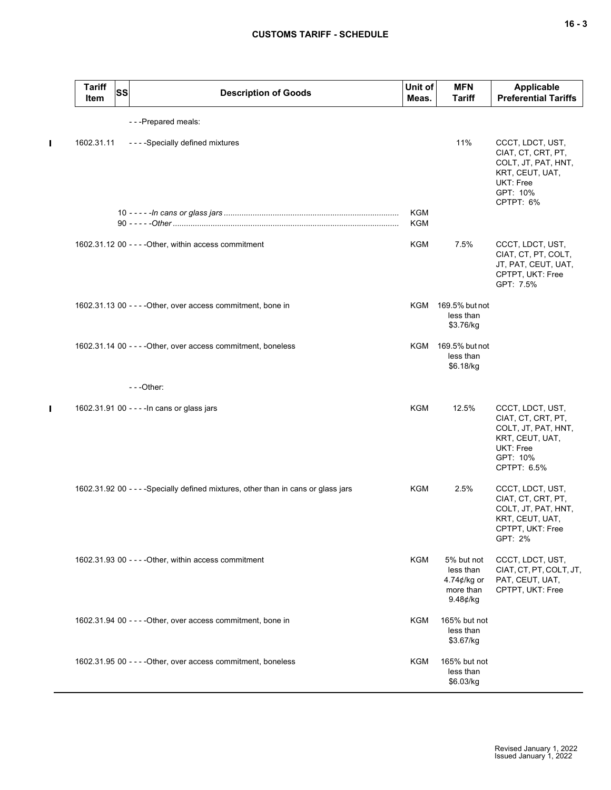$\mathbf{I}$ 

 $\blacksquare$ 

| <b>Tariff</b><br>Item | <b>SS</b> | <b>Description of Goods</b>                                                        | Unit of<br>Meas. | <b>MFN</b><br><b>Tariff</b>                                        | <b>Applicable</b><br><b>Preferential Tariffs</b>                                                                         |
|-----------------------|-----------|------------------------------------------------------------------------------------|------------------|--------------------------------------------------------------------|--------------------------------------------------------------------------------------------------------------------------|
|                       |           | ---Prepared meals:                                                                 |                  |                                                                    |                                                                                                                          |
| 1602.31.11            |           | - - - - Specially defined mixtures                                                 | <b>KGM</b>       | 11%                                                                | CCCT, LDCT, UST,<br>CIAT, CT, CRT, PT,<br>COLT, JT, PAT, HNT,<br>KRT, CEUT, UAT,<br>UKT: Free<br>GPT: 10%<br>CPTPT: 6%   |
|                       |           |                                                                                    | KGM              |                                                                    |                                                                                                                          |
|                       |           | 1602.31.12 00 - - - - Other, within access commitment                              | KGM              | 7.5%                                                               | CCCT, LDCT, UST,<br>CIAT, CT, PT, COLT,<br>JT, PAT, CEUT, UAT,<br>CPTPT, UKT: Free<br>GPT: 7.5%                          |
|                       |           | 1602.31.13 00 - - - - Other, over access commitment, bone in                       | KGM              | 169.5% but not<br>less than<br>\$3.76/kg                           |                                                                                                                          |
|                       |           | 1602.31.14 00 - - - - Other, over access commitment, boneless                      | KGM              | 169.5% but not<br>less than<br>\$6.18/kg                           |                                                                                                                          |
|                       |           | $- -$ Other:                                                                       |                  |                                                                    |                                                                                                                          |
|                       |           | 1602.31.91 00 - - - - In cans or glass jars                                        | <b>KGM</b>       | 12.5%                                                              | CCCT, LDCT, UST,<br>CIAT, CT, CRT, PT,<br>COLT, JT, PAT, HNT,<br>KRT, CEUT, UAT,<br>UKT: Free<br>GPT: 10%<br>CPTPT: 6.5% |
|                       |           | 1602.31.92 00 - - - - Specially defined mixtures, other than in cans or glass jars | <b>KGM</b>       | 2.5%                                                               | CCCT, LDCT, UST,<br>CIAT, CT, CRT, PT,<br>COLT, JT, PAT, HNT,<br>KRT, CEUT, UAT,<br>CPTPT, UKT: Free<br>GPT: 2%          |
|                       |           | 1602.31.93 00 - - - - Other, within access commitment                              | KGM              | 5% but not<br>less than<br>4.74¢/kg or<br>more than<br>$9.48$ ¢/kg | CCCT, LDCT, UST,<br>CIAT, CT, PT, COLT, JT,<br>PAT, CEUT, UAT,<br>CPTPT, UKT: Free                                       |
|                       |           | 1602.31.94 00 - - - - Other, over access commitment, bone in                       | KGM              | 165% but not<br>less than<br>\$3.67/kg                             |                                                                                                                          |
|                       |           | 1602.31.95 00 - - - - Other, over access commitment, boneless                      | <b>KGM</b>       | 165% but not<br>less than<br>\$6.03/kg                             |                                                                                                                          |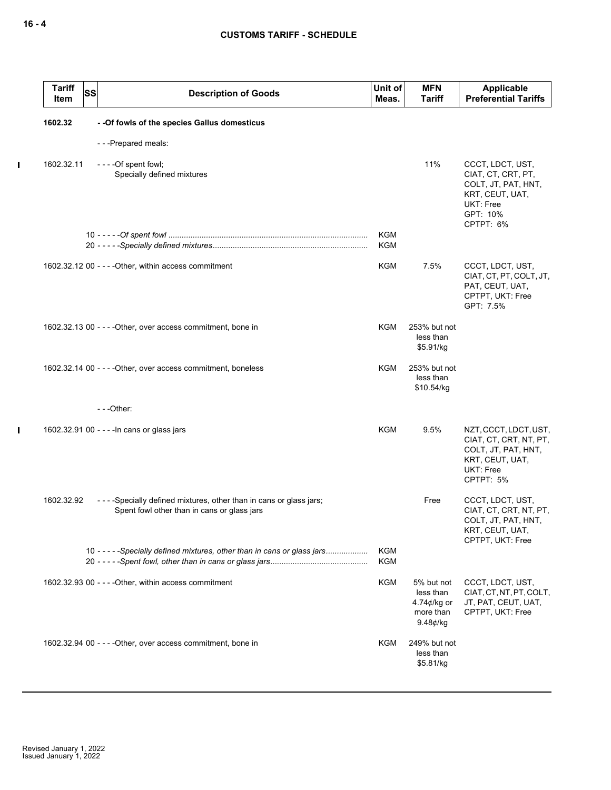$\mathbf{l}$ 

 $\mathbf I$ 

| <b>Tariff</b><br>Item | <b>SS</b> | <b>Description of Goods</b>                                                                                          | Unit of<br>Meas.         | <b>MFN</b><br><b>Tariff</b>                                                  | Applicable<br><b>Preferential Tariffs</b>                                                                              |
|-----------------------|-----------|----------------------------------------------------------------------------------------------------------------------|--------------------------|------------------------------------------------------------------------------|------------------------------------------------------------------------------------------------------------------------|
| 1602.32               |           | - - Of fowls of the species Gallus domesticus                                                                        |                          |                                                                              |                                                                                                                        |
|                       |           | - - - Prepared meals:                                                                                                |                          |                                                                              |                                                                                                                        |
| 1602.32.11            |           | - - - - Of spent fowl;<br>Specially defined mixtures                                                                 |                          | 11%                                                                          | CCCT, LDCT, UST,<br>CIAT, CT, CRT, PT,<br>COLT, JT, PAT, HNT,<br>KRT, CEUT, UAT,<br>UKT: Free<br>GPT: 10%<br>CPTPT: 6% |
|                       |           |                                                                                                                      | <b>KGM</b><br><b>KGM</b> |                                                                              |                                                                                                                        |
|                       |           | 1602.32.12 00 - - - - Other, within access commitment                                                                | KGM                      | 7.5%                                                                         | CCCT, LDCT, UST,<br>CIAT, CT, PT, COLT, JT,<br>PAT, CEUT, UAT,<br>CPTPT, UKT: Free<br>GPT: 7.5%                        |
|                       |           | 1602.32.13 00 - - - - Other, over access commitment, bone in                                                         | KGM                      | 253% but not<br>less than<br>\$5.91/kg                                       |                                                                                                                        |
|                       |           | 1602.32.14 00 - - - - Other, over access commitment, boneless                                                        | KGM                      | 253% but not<br>less than<br>\$10.54/kg                                      |                                                                                                                        |
|                       |           | $- -$ Other:                                                                                                         |                          |                                                                              |                                                                                                                        |
|                       |           | 1602.32.91 00 - - - - In cans or glass jars                                                                          | KGM                      | 9.5%                                                                         | NZT, CCCT, LDCT, UST,<br>CIAT, CT, CRT, NT, PT,<br>COLT, JT, PAT, HNT,<br>KRT, CEUT, UAT,<br>UKT: Free<br>CPTPT: 5%    |
| 1602.32.92            |           | - - - - Specially defined mixtures, other than in cans or glass jars;<br>Spent fowl other than in cans or glass jars |                          | Free                                                                         | CCCT, LDCT, UST,<br>CIAT, CT, CRT, NT, PT,<br>COLT, JT, PAT, HNT,<br>KRT, CEUT, UAT,<br>CPTPT, UKT: Free               |
|                       |           | 10 - - - - - Specially defined mixtures, other than in cans or glass jars                                            | <b>KGM</b><br><b>KGM</b> |                                                                              |                                                                                                                        |
|                       |           | 1602.32.93 00 - - - - Other, within access commitment                                                                | KGM                      | 5% but not<br>less than<br>4.74 $\not\in$ /kg or<br>more than<br>$9.48$ ¢/kg | CCCT, LDCT, UST,<br>CIAT, CT, NT, PT, COLT,<br>JT, PAT, CEUT, UAT,<br>CPTPT, UKT: Free                                 |
|                       |           | 1602.32.94 00 - - - - Other, over access commitment, bone in                                                         | KGM                      | 249% but not<br>less than<br>\$5.81/kg                                       |                                                                                                                        |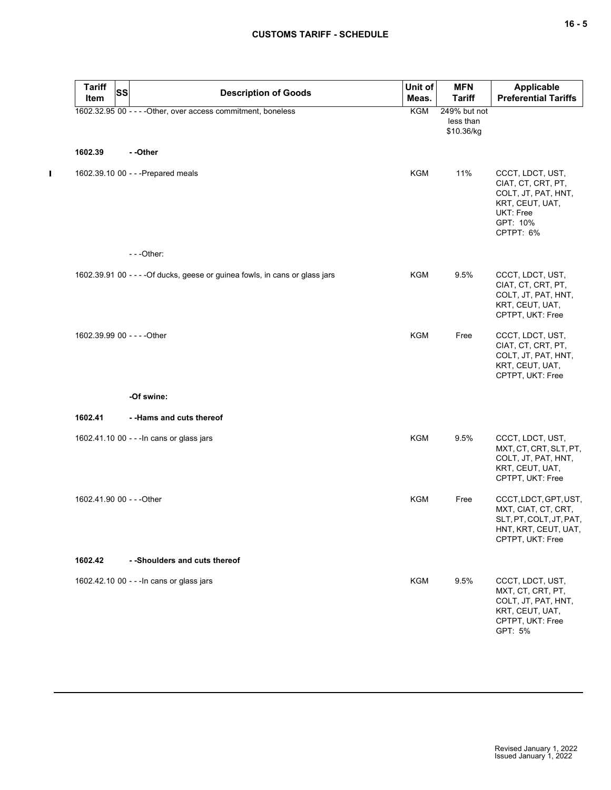$\mathbf{I}$ 

| <b>Tariff</b><br>Item       | <b>SS</b> | <b>Description of Goods</b>                                                  | Unit of<br>Meas. | <b>MFN</b><br><b>Tariff</b>             | <b>Applicable</b><br><b>Preferential Tariffs</b>                                                                       |
|-----------------------------|-----------|------------------------------------------------------------------------------|------------------|-----------------------------------------|------------------------------------------------------------------------------------------------------------------------|
|                             |           | 1602.32.95 00 - - - - Other, over access commitment, boneless                | <b>KGM</b>       | 249% but not<br>less than<br>\$10.36/kg |                                                                                                                        |
| 1602.39                     |           | - -Other                                                                     |                  |                                         |                                                                                                                        |
|                             |           | 1602.39.10 00 - - - Prepared meals                                           | <b>KGM</b>       | 11%                                     | CCCT, LDCT, UST,<br>CIAT, CT, CRT, PT,<br>COLT, JT, PAT, HNT,<br>KRT, CEUT, UAT,<br>UKT: Free<br>GPT: 10%<br>CPTPT: 6% |
|                             |           | $- -$ Other:                                                                 |                  |                                         |                                                                                                                        |
|                             |           | 1602.39.91 00 - - - - Of ducks, geese or guinea fowls, in cans or glass jars | <b>KGM</b>       | 9.5%                                    | CCCT, LDCT, UST,<br>CIAT, CT, CRT, PT,<br>COLT, JT, PAT, HNT,<br>KRT, CEUT, UAT,<br>CPTPT, UKT: Free                   |
| 1602.39.99 00 - - - - Other |           |                                                                              | <b>KGM</b>       | Free                                    | CCCT, LDCT, UST,<br>CIAT, CT, CRT, PT,<br>COLT, JT, PAT, HNT,<br>KRT, CEUT, UAT,<br>CPTPT, UKT: Free                   |
|                             |           | -Of swine:                                                                   |                  |                                         |                                                                                                                        |
| 1602.41                     |           | - -Hams and cuts thereof                                                     |                  |                                         |                                                                                                                        |
|                             |           | 1602.41.10 00 - - - In cans or glass jars                                    | <b>KGM</b>       | 9.5%                                    | CCCT, LDCT, UST,<br>MXT, CT, CRT, SLT, PT,<br>COLT, JT, PAT, HNT,<br>KRT, CEUT, UAT,<br>CPTPT, UKT: Free               |
| 1602.41.90 00 - - - Other   |           |                                                                              | KGM              | Free                                    | CCCT, LDCT, GPT, UST,<br>MXT, CIAT, CT, CRT,<br>SLT, PT, COLT, JT, PAT,<br>HNT, KRT, CEUT, UAT,<br>CPTPT, UKT: Free    |
| 1602.42                     |           | - -Shoulders and cuts thereof                                                |                  |                                         |                                                                                                                        |
|                             |           | 1602.42.10 00 - - - In cans or glass jars                                    | KGM              | 9.5%                                    | CCCT, LDCT, UST,<br>MXT, CT, CRT, PT,<br>COLT, JT, PAT, HNT,<br>KRT, CEUT, UAT,<br>CPTPT, UKT: Free<br>GPT: 5%         |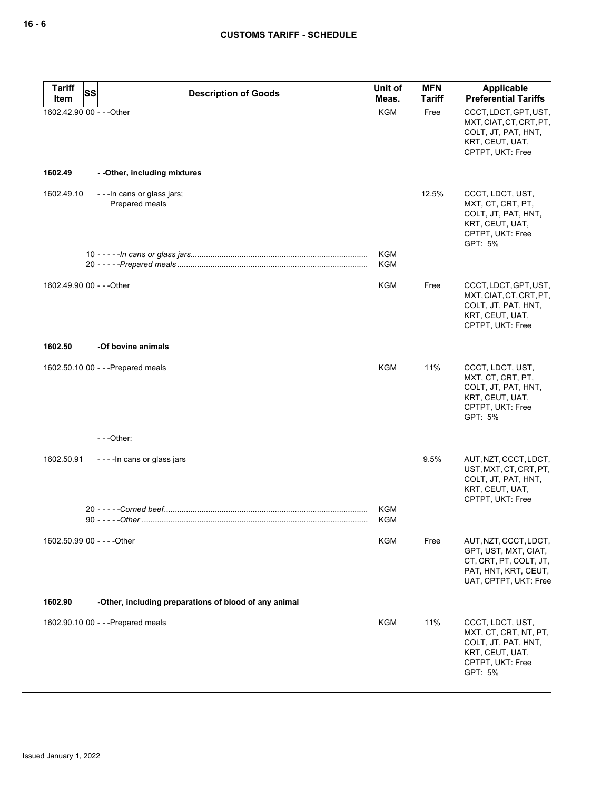| <b>Tariff</b><br>Item       | <b>SS</b> | <b>Description of Goods</b>                           | Unit of<br>Meas.         | <b>MFN</b><br><b>Tariff</b> | Applicable<br><b>Preferential Tariffs</b>                                                                                |
|-----------------------------|-----------|-------------------------------------------------------|--------------------------|-----------------------------|--------------------------------------------------------------------------------------------------------------------------|
| 1602.42.90 00 - - - Other   |           |                                                       | <b>KGM</b>               | Free                        | CCCT, LDCT, GPT, UST,<br>MXT, CIAT, CT, CRT, PT,<br>COLT, JT, PAT, HNT,<br>KRT, CEUT, UAT,<br>CPTPT, UKT: Free           |
| 1602.49                     |           | - - Other, including mixtures                         |                          |                             |                                                                                                                          |
| 1602.49.10                  |           | - - - In cans or glass jars;<br>Prepared meals        |                          | 12.5%                       | CCCT, LDCT, UST,<br>MXT, CT, CRT, PT,<br>COLT, JT, PAT, HNT,<br>KRT, CEUT, UAT,<br>CPTPT, UKT: Free<br>GPT: 5%           |
|                             |           |                                                       | <b>KGM</b><br><b>KGM</b> |                             |                                                                                                                          |
| 1602.49.90 00 - - - Other   |           |                                                       | <b>KGM</b>               | Free                        | CCCT, LDCT, GPT, UST,<br>MXT, CIAT, CT, CRT, PT,<br>COLT, JT, PAT, HNT,<br>KRT, CEUT, UAT,<br>CPTPT, UKT: Free           |
| 1602.50                     |           | -Of bovine animals                                    |                          |                             |                                                                                                                          |
|                             |           | 1602.50.10 00 - - - Prepared meals                    | KGM                      | 11%                         | CCCT, LDCT, UST,<br>MXT, CT, CRT, PT,<br>COLT, JT, PAT, HNT,<br>KRT, CEUT, UAT,<br>CPTPT, UKT: Free<br>GPT: 5%           |
|                             |           | $--$ Other:                                           |                          |                             |                                                                                                                          |
| 1602.50.91                  |           | ----In cans or glass jars                             |                          | 9.5%                        | AUT, NZT, CCCT, LDCT,<br>UST, MXT, CT, CRT, PT,<br>COLT, JT, PAT, HNT,<br>KRT, CEUT, UAT,<br>CPTPT, UKT: Free            |
|                             |           |                                                       | <b>KGM</b><br><b>KGM</b> |                             |                                                                                                                          |
| 1602.50.99 00 - - - - Other |           |                                                       | KGM                      | Free                        | AUT, NZT, CCCT, LDCT,<br>GPT, UST, MXT, CIAT,<br>CT, CRT, PT, COLT, JT,<br>PAT, HNT, KRT, CEUT,<br>UAT, CPTPT, UKT: Free |
| 1602.90                     |           | -Other, including preparations of blood of any animal |                          |                             |                                                                                                                          |
|                             |           | 1602.90.10 00 - - - Prepared meals                    | <b>KGM</b>               | 11%                         | CCCT, LDCT, UST,<br>MXT, CT, CRT, NT, PT,<br>COLT, JT, PAT, HNT,<br>KRT, CEUT, UAT,<br>CPTPT, UKT: Free<br>GPT: 5%       |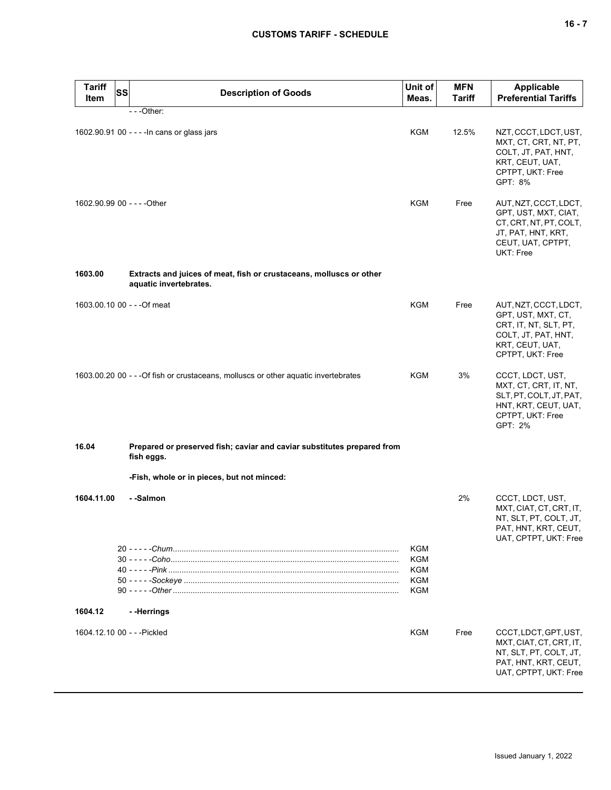| <b>Tariff</b><br>Item | <b>SS</b> | <b>Description of Goods</b>                                                                   | Unit of<br>Meas.                              | <b>MFN</b><br><b>Tariff</b> | <b>Applicable</b><br><b>Preferential Tariffs</b>                                                                                   |
|-----------------------|-----------|-----------------------------------------------------------------------------------------------|-----------------------------------------------|-----------------------------|------------------------------------------------------------------------------------------------------------------------------------|
|                       |           | $- -$ Other:                                                                                  |                                               |                             |                                                                                                                                    |
|                       |           | 1602.90.91 00 - - - - In cans or glass jars                                                   | KGM                                           | 12.5%                       | NZT, CCCT, LDCT, UST,<br>MXT, CT, CRT, NT, PT,<br>COLT, JT, PAT, HNT,<br>KRT, CEUT, UAT,<br>CPTPT, UKT: Free<br>GPT: 8%            |
|                       |           | 1602.90.99 00 - - - - Other                                                                   | <b>KGM</b>                                    | Free                        | AUT, NZT, CCCT, LDCT,<br>GPT, UST, MXT, CIAT,<br>CT, CRT, NT, PT, COLT,<br>JT, PAT, HNT, KRT,<br>CEUT, UAT, CPTPT,<br>UKT: Free    |
| 1603.00               |           | Extracts and juices of meat, fish or crustaceans, molluscs or other<br>aquatic invertebrates. |                                               |                             |                                                                                                                                    |
|                       |           | 1603.00.10 00 - - - Of meat                                                                   | <b>KGM</b>                                    | Free                        | AUT, NZT, CCCT, LDCT,<br>GPT, UST, MXT, CT,<br>CRT, IT, NT, SLT, PT,<br>COLT, JT, PAT, HNT,<br>KRT, CEUT, UAT,<br>CPTPT, UKT: Free |
|                       |           | 1603.00.20 00 - - - Of fish or crustaceans, molluscs or other aquatic invertebrates           | KGM                                           | 3%                          | CCCT, LDCT, UST,<br>MXT, CT, CRT, IT, NT,<br>SLT, PT, COLT, JT, PAT,<br>HNT, KRT, CEUT, UAT,<br>CPTPT, UKT: Free<br>GPT: 2%        |
| 16.04                 |           | Prepared or preserved fish; caviar and caviar substitutes prepared from<br>fish eggs.         |                                               |                             |                                                                                                                                    |
|                       |           | -Fish, whole or in pieces, but not minced:                                                    |                                               |                             |                                                                                                                                    |
| 1604.11.00            |           | - -Salmon                                                                                     |                                               | 2%                          | CCCT, LDCT, UST,<br>MXT, CIAT, CT, CRT, IT,<br>NT, SLT, PT, COLT, JT,<br>PAT, HNT, KRT, CEUT,<br>UAT, CPTPT, UKT: Free             |
|                       |           |                                                                                               | KGM<br>KGM<br><b>KGM</b><br><b>KGM</b><br>KGM |                             |                                                                                                                                    |
| 1604.12               |           | --Herrings                                                                                    |                                               |                             |                                                                                                                                    |
|                       |           | 1604.12.10 00 - - - Pickled                                                                   | KGM                                           | Free                        | CCCT, LDCT, GPT, UST,<br>MXT, CIAT, CT, CRT, IT,<br>NT, SLT, PT, COLT, JT,<br>PAT, HNT, KRT, CEUT,<br>UAT, CPTPT, UKT: Free        |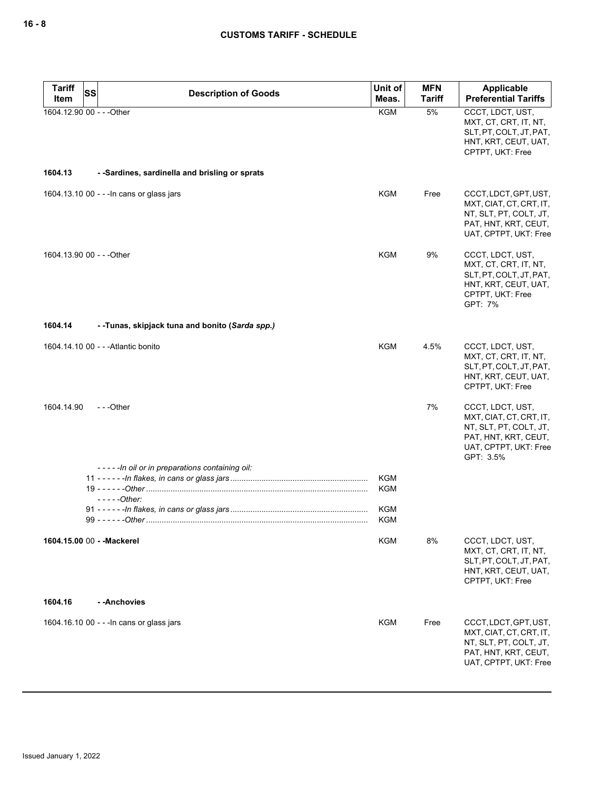| <b>Tariff</b><br>SS        | <b>Description of Goods</b>                    | Unit of                  | <b>MFN</b>    | <b>Applicable</b>                                                                                                                   |
|----------------------------|------------------------------------------------|--------------------------|---------------|-------------------------------------------------------------------------------------------------------------------------------------|
| Item                       |                                                | Meas.                    | <b>Tariff</b> | <b>Preferential Tariffs</b>                                                                                                         |
| 1604.12.90 00 - - - Other  |                                                | <b>KGM</b>               | 5%            | CCCT, LDCT, UST,<br>MXT, CT, CRT, IT, NT,<br>SLT, PT, COLT, JT, PAT,<br>HNT, KRT, CEUT, UAT,<br>CPTPT, UKT: Free                    |
| 1604.13                    | - -Sardines, sardinella and brisling or sprats |                          |               |                                                                                                                                     |
|                            | 1604.13.10 00 - - - In cans or glass jars      | KGM                      | Free          | CCCT, LDCT, GPT, UST,<br>MXT, CIAT, CT, CRT, IT,<br>NT, SLT, PT, COLT, JT,<br>PAT, HNT, KRT, CEUT,<br>UAT, CPTPT, UKT: Free         |
| 1604.13.90 00 - - - Other  |                                                | KGM                      | 9%            | CCCT, LDCT, UST,<br>MXT, CT, CRT, IT, NT,<br>SLT, PT, COLT, JT, PAT,<br>HNT, KRT, CEUT, UAT,<br>CPTPT, UKT: Free<br>GPT: 7%         |
| 1604.14                    | --Tunas, skipjack tuna and bonito (Sarda spp.) |                          |               |                                                                                                                                     |
|                            | 1604.14.10 00 - - - Atlantic bonito            | <b>KGM</b>               | 4.5%          | CCCT, LDCT, UST,<br>MXT, CT, CRT, IT, NT,<br>SLT, PT, COLT, JT, PAT,<br>HNT, KRT, CEUT, UAT,<br>CPTPT, UKT: Free                    |
| 1604.14.90                 | $-$ - -Other                                   |                          | 7%            | CCCT, LDCT, UST,<br>MXT, CIAT, CT, CRT, IT,<br>NT, SLT, PT, COLT, JT,<br>PAT, HNT, KRT, CEUT,<br>UAT, CPTPT, UKT: Free<br>GPT: 3.5% |
|                            | -----In oil or in preparations containing oil: |                          |               |                                                                                                                                     |
|                            | $---Other:$                                    | <b>KGM</b><br><b>KGM</b> |               |                                                                                                                                     |
|                            |                                                | <b>KGM</b><br><b>KGM</b> |               |                                                                                                                                     |
| 1604.15.00 00 - - Mackerel |                                                | <b>KGM</b>               | 8%            | CCCT, LDCT, UST,<br>MXT, CT, CRT, IT, NT,<br>SLT, PT, COLT, JT, PAT,<br>HNT, KRT, CEUT, UAT,<br>CPTPT, UKT: Free                    |
| 1604.16                    | - -Anchovies                                   |                          |               |                                                                                                                                     |
|                            | 1604.16.10 00 - - - In cans or glass jars      | <b>KGM</b>               | Free          | CCCT, LDCT, GPT, UST,<br>MXT, CIAT, CT, CRT, IT,<br>NT, SLT, PT, COLT, JT,<br>PAT, HNT, KRT, CEUT,<br>UAT, CPTPT, UKT: Free         |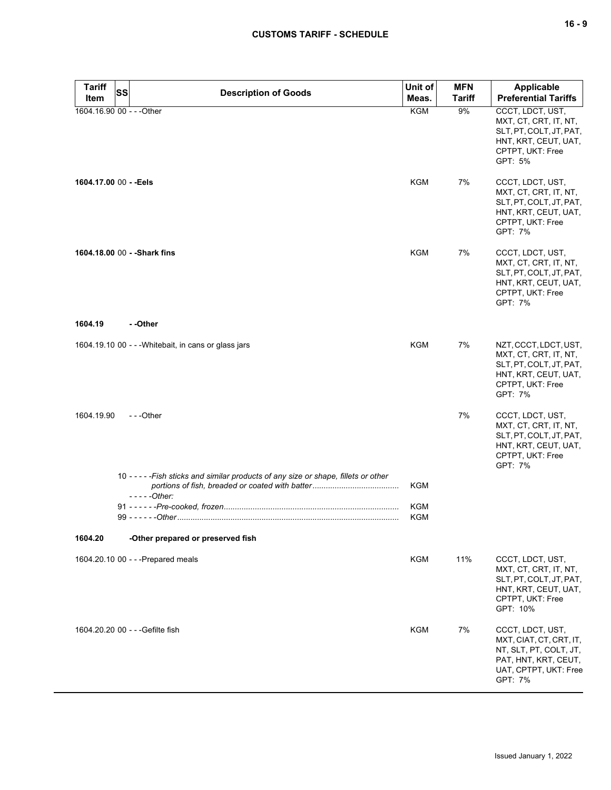| <b>Tariff</b><br>Item  | <b>SS</b><br><b>Description of Goods</b>                                                                 | Unit of<br>Meas.  | <b>MFN</b><br>Tariff | Applicable<br><b>Preferential Tariffs</b>                                                                                        |
|------------------------|----------------------------------------------------------------------------------------------------------|-------------------|----------------------|----------------------------------------------------------------------------------------------------------------------------------|
|                        | 1604.16.90 00 - - - Other                                                                                | <b>KGM</b>        | 9%                   | CCCT, LDCT, UST,<br>MXT, CT, CRT, IT, NT,<br>SLT, PT, COLT, JT, PAT,<br>HNT, KRT, CEUT, UAT,<br>CPTPT, UKT: Free<br>GPT: 5%      |
| 1604.17.00 00 - - Eels |                                                                                                          | <b>KGM</b>        | 7%                   | CCCT, LDCT, UST,<br>MXT, CT, CRT, IT, NT,<br>SLT, PT, COLT, JT, PAT,<br>HNT, KRT, CEUT, UAT,<br>CPTPT, UKT: Free<br>GPT: 7%      |
|                        | 1604.18.00 00 - - Shark fins                                                                             | <b>KGM</b>        | 7%                   | CCCT, LDCT, UST,<br>MXT, CT, CRT, IT, NT,<br>SLT, PT, COLT, JT, PAT,<br>HNT, KRT, CEUT, UAT,<br>CPTPT, UKT: Free<br>GPT: 7%      |
| 1604.19                | - -Other                                                                                                 |                   |                      |                                                                                                                                  |
|                        | 1604.19.10 00 - - - Whitebait, in cans or glass jars                                                     | <b>KGM</b>        | 7%                   | NZT, CCCT, LDCT, UST,<br>MXT, CT, CRT, IT, NT,<br>SLT, PT, COLT, JT, PAT,<br>HNT, KRT, CEUT, UAT,<br>CPTPT, UKT: Free<br>GPT: 7% |
| 1604.19.90             | $- -$ Other                                                                                              |                   | 7%                   | CCCT, LDCT, UST,<br>MXT, CT, CRT, IT, NT,<br>SLT, PT, COLT, JT, PAT,<br>HNT, KRT, CEUT, UAT,<br>CPTPT, UKT: Free<br>GPT: 7%      |
|                        | 10 - - - - - Fish sticks and similar products of any size or shape, fillets or other<br>- - - - - Other: | KGM               |                      |                                                                                                                                  |
|                        |                                                                                                          | KGM<br><b>KGM</b> |                      |                                                                                                                                  |
| 1604.20                | -Other prepared or preserved fish                                                                        |                   |                      |                                                                                                                                  |
|                        | 1604.20.10 00 - - - Prepared meals                                                                       | KGM               | 11%                  | CCCT, LDCT, UST,<br>MXT, CT, CRT, IT, NT,<br>SLT, PT, COLT, JT, PAT,<br>HNT, KRT, CEUT, UAT,<br>CPTPT, UKT: Free<br>GPT: 10%     |
|                        | 1604.20.20 00 - - - Gefilte fish                                                                         | <b>KGM</b>        | 7%                   | CCCT, LDCT, UST,<br>MXT, CIAT, CT, CRT, IT,<br>NT, SLT, PT, COLT, JT,<br>PAT, HNT, KRT, CEUT,                                    |

UAT, CPTPT, UKT: Free

GPT: 7%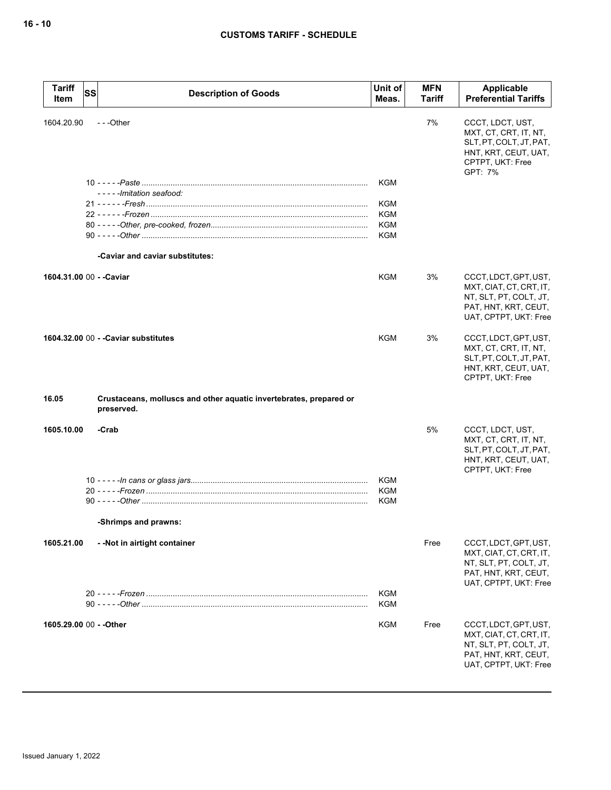| <b>Tariff</b><br><b>SS</b><br>Item | <b>Description of Goods</b>                                                      | Unit of<br>Meas.                       | <b>MFN</b><br>Tariff | Applicable<br><b>Preferential Tariffs</b>                                                                                   |
|------------------------------------|----------------------------------------------------------------------------------|----------------------------------------|----------------------|-----------------------------------------------------------------------------------------------------------------------------|
| 1604.20.90                         | $- -$ Other                                                                      |                                        | 7%                   | CCCT, LDCT, UST,<br>MXT, CT, CRT, IT, NT,<br>SLT, PT, COLT, JT, PAT,<br>HNT, KRT, CEUT, UAT,<br>CPTPT, UKT: Free<br>GPT: 7% |
|                                    | -----Imitation seafood:                                                          | <b>KGM</b>                             |                      |                                                                                                                             |
|                                    |                                                                                  | <b>KGM</b><br><b>KGM</b><br>KGM<br>KGM |                      |                                                                                                                             |
|                                    | -Caviar and caviar substitutes:                                                  |                                        |                      |                                                                                                                             |
| 1604.31.00 00 - - Caviar           |                                                                                  | <b>KGM</b>                             | 3%                   | CCCT, LDCT, GPT, UST,<br>MXT, CIAT, CT, CRT, IT,<br>NT, SLT, PT, COLT, JT,<br>PAT, HNT, KRT, CEUT,<br>UAT, CPTPT, UKT: Free |
|                                    | 1604.32.00 00 - - Caviar substitutes                                             | <b>KGM</b>                             | 3%                   | CCCT, LDCT, GPT, UST,<br>MXT, CT, CRT, IT, NT,<br>SLT, PT, COLT, JT, PAT,<br>HNT, KRT, CEUT, UAT,<br>CPTPT, UKT: Free       |
| 16.05                              | Crustaceans, molluscs and other aquatic invertebrates, prepared or<br>preserved. |                                        |                      |                                                                                                                             |
| 1605.10.00                         | -Crab                                                                            |                                        | 5%                   | CCCT, LDCT, UST,<br>MXT, CT, CRT, IT, NT,<br>SLT, PT, COLT, JT, PAT,<br>HNT, KRT, CEUT, UAT,<br>CPTPT, UKT: Free            |
|                                    |                                                                                  | KGM<br><b>KGM</b><br><b>KGM</b>        |                      |                                                                                                                             |
|                                    | -Shrimps and prawns:                                                             |                                        |                      |                                                                                                                             |
| 1605.21.00                         | --Not in airtight container                                                      |                                        | Free                 | CCCT, LDCT, GPT, UST,<br>MXT, CIAT, CT, CRT, IT,<br>NT, SLT, PT, COLT, JT,<br>PAT, HNT, KRT, CEUT,<br>UAT, CPTPT, UKT: Free |
|                                    |                                                                                  | <b>KGM</b><br>KGM                      |                      |                                                                                                                             |
| 1605.29.00 00 - - Other            |                                                                                  | KGM                                    | Free                 | CCCT, LDCT, GPT, UST,<br>MXT, CIAT, CT, CRT, IT,<br>NT, SLT, PT, COLT, JT,<br>PAT, HNT, KRT, CEUT,<br>UAT, CPTPT, UKT: Free |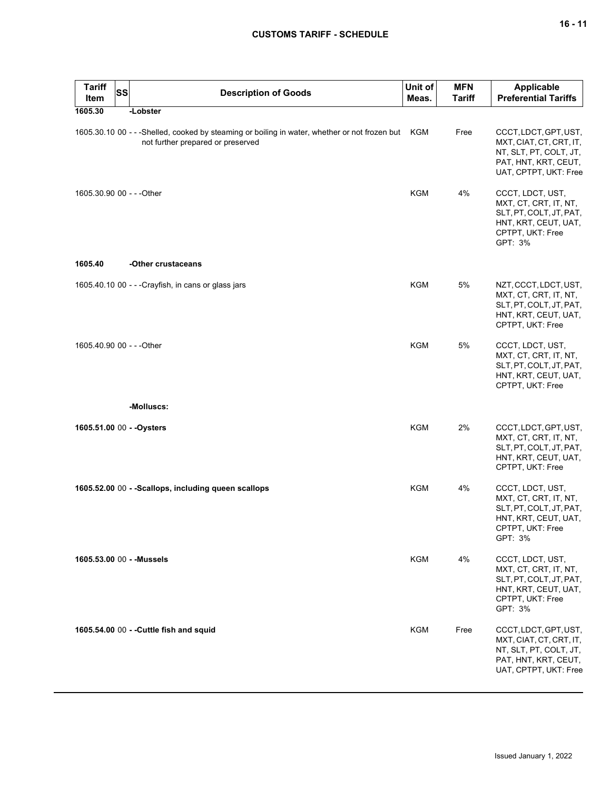# **CUSTOMS TARIFF - SCHEDULE**

| <b>Tariff</b><br>Item | <b>SS</b> | <b>Description of Goods</b>                                                                                                        | Unit of<br>Meas. | <b>MFN</b><br><b>Tariff</b> | <b>Applicable</b><br><b>Preferential Tariffs</b>                                                                            |
|-----------------------|-----------|------------------------------------------------------------------------------------------------------------------------------------|------------------|-----------------------------|-----------------------------------------------------------------------------------------------------------------------------|
| 1605.30               |           | -Lobster                                                                                                                           |                  |                             |                                                                                                                             |
|                       |           | 1605.30.10 00 - - -Shelled, cooked by steaming or boiling in water, whether or not frozen but<br>not further prepared or preserved | <b>KGM</b>       | Free                        | CCCT, LDCT, GPT, UST,<br>MXT, CIAT, CT, CRT, IT,<br>NT, SLT, PT, COLT, JT,<br>PAT, HNT, KRT, CEUT,<br>UAT, CPTPT, UKT: Free |
|                       |           | 1605.30.90 00 - - - Other                                                                                                          | <b>KGM</b>       | 4%                          | CCCT, LDCT, UST,<br>MXT, CT, CRT, IT, NT,<br>SLT, PT, COLT, JT, PAT,<br>HNT, KRT, CEUT, UAT,<br>CPTPT, UKT: Free<br>GPT: 3% |
| 1605.40               |           | -Other crustaceans                                                                                                                 |                  |                             |                                                                                                                             |
|                       |           | 1605.40.10 00 - - - Crayfish, in cans or glass jars                                                                                | KGM              | 5%                          | NZT, CCCT, LDCT, UST,<br>MXT, CT, CRT, IT, NT,<br>SLT, PT, COLT, JT, PAT,<br>HNT, KRT, CEUT, UAT,<br>CPTPT, UKT: Free       |
|                       |           | 1605.40.90 00 - - - Other                                                                                                          | <b>KGM</b>       | 5%                          | CCCT, LDCT, UST,<br>MXT, CT, CRT, IT, NT,<br>SLT, PT, COLT, JT, PAT,<br>HNT, KRT, CEUT, UAT,<br>CPTPT, UKT: Free            |
|                       |           | -Molluscs:                                                                                                                         |                  |                             |                                                                                                                             |
|                       |           | 1605.51.00 00 - - Oysters                                                                                                          | <b>KGM</b>       | 2%                          | CCCT, LDCT, GPT, UST,<br>MXT, CT, CRT, IT, NT,<br>SLT, PT, COLT, JT, PAT,<br>HNT, KRT, CEUT, UAT,<br>CPTPT, UKT: Free       |
|                       |           | 1605.52.00 00 - -Scallops, including queen scallops                                                                                | KGM              | 4%                          | CCCT, LDCT, UST,<br>MXT, CT, CRT, IT, NT,<br>SLT, PT, COLT, JT, PAT,<br>HNT, KRT, CEUT, UAT,<br>CPTPT, UKT: Free<br>GPT: 3% |
|                       |           | 1605.53.00 00 - - Mussels                                                                                                          | KGM              | 4%                          | CCCT, LDCT, UST,<br>MXT, CT, CRT, IT, NT,<br>SLT, PT, COLT, JT, PAT,<br>HNT, KRT, CEUT, UAT,<br>CPTPT, UKT: Free<br>GPT: 3% |
|                       |           | 1605.54.00 00 - - Cuttle fish and squid                                                                                            | KGM              | Free                        | CCCT, LDCT, GPT, UST,<br>MXT, CIAT, CT, CRT, IT,<br>NT, SLT, PT, COLT, JT,<br>PAT, HNT, KRT, CEUT,<br>UAT, CPTPT, UKT: Free |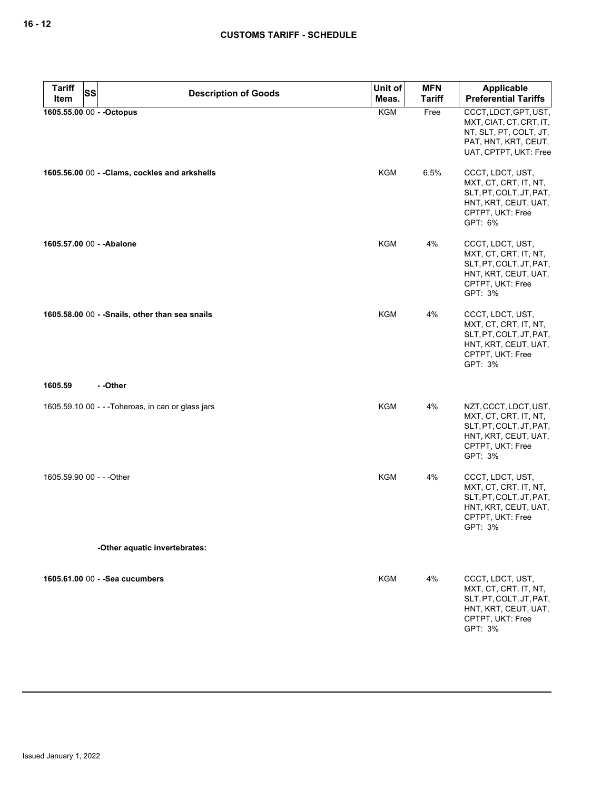| <b>Tariff</b><br><b>Item</b> | <b>SS</b> | <b>Description of Goods</b>                        | Unit of<br>Meas. | <b>MFN</b><br><b>Tariff</b> | Applicable<br><b>Preferential Tariffs</b>                                                                                        |
|------------------------------|-----------|----------------------------------------------------|------------------|-----------------------------|----------------------------------------------------------------------------------------------------------------------------------|
| 1605.55.00 00 - - Octopus    |           |                                                    | <b>KGM</b>       | Free                        | CCCT, LDCT, GPT, UST,<br>MXT, CIAT, CT, CRT, IT,<br>NT, SLT, PT, COLT, JT,<br>PAT, HNT, KRT, CEUT,<br>UAT, CPTPT, UKT: Free      |
|                              |           | 1605.56.00 00 - - Clams, cockles and arkshells     | <b>KGM</b>       | 6.5%                        | CCCT, LDCT, UST,<br>MXT, CT, CRT, IT, NT,<br>SLT, PT, COLT, JT, PAT,<br>HNT, KRT, CEUT, UAT,<br>CPTPT, UKT: Free<br>GPT: 6%      |
| 1605.57.00 00 - - Abalone    |           |                                                    | KGM              | 4%                          | CCCT, LDCT, UST,<br>MXT, CT, CRT, IT, NT,<br>SLT, PT, COLT, JT, PAT,<br>HNT, KRT, CEUT, UAT,<br>CPTPT, UKT: Free<br>GPT: 3%      |
|                              |           | 1605.58.00 00 - - Snails, other than sea snails    | <b>KGM</b>       | 4%                          | CCCT, LDCT, UST,<br>MXT, CT, CRT, IT, NT,<br>SLT, PT, COLT, JT, PAT,<br>HNT, KRT, CEUT, UAT,<br>CPTPT, UKT: Free<br>GPT: 3%      |
| 1605.59                      |           | --Other                                            |                  |                             |                                                                                                                                  |
|                              |           | 1605.59.10 00 - - - Toheroas, in can or glass jars | <b>KGM</b>       | 4%                          | NZT, CCCT, LDCT, UST,<br>MXT, CT, CRT, IT, NT,<br>SLT, PT, COLT, JT, PAT,<br>HNT, KRT, CEUT, UAT,<br>CPTPT, UKT: Free<br>GPT: 3% |
| 1605.59.90 00 - - - Other    |           |                                                    | KGM              | 4%                          | CCCT, LDCT, UST,<br>MXT, CT, CRT, IT, NT,<br>SLT, PT, COLT, JT, PAT,<br>HNT, KRT, CEUT, UAT,<br>CPTPT, UKT: Free<br>GPT: 3%      |
|                              |           | -Other aquatic invertebrates:                      |                  |                             |                                                                                                                                  |
|                              |           | 1605.61.00 00 - - Sea cucumbers                    | KGM              | 4%                          | CCCT, LDCT, UST,<br>MXT, CT, CRT, IT, NT,<br>SLT, PT, COLT, JT, PAT,<br>HNT, KRT, CEUT, UAT,<br>CPTPT, UKT: Free<br>GPT: 3%      |